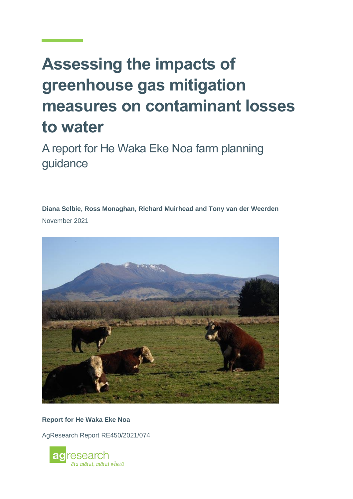# **Assessing the impacts of greenhouse gas mitigation measures on contaminant losses to water**

A report for He Waka Eke Noa farm planning guidance

**Diana Selbie, Ross Monaghan, Richard Muirhead and Tony van der Weerden** November 2021



**Report for He Waka Eke Noa**

AgResearch Report RE450/2021/074

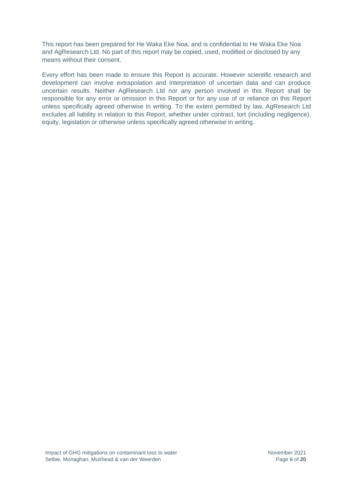This report has been prepared for He Waka Eke Noa, and is confidential to He Waka Eke Noa and AgResearch Ltd. No part of this report may be copied, used, modified or disclosed by any means without their consent.

Every effort has been made to ensure this Report is accurate. However scientific research and development can involve extrapolation and interpretation of uncertain data and can produce uncertain results. Neither AgResearch Ltd nor any person involved in this Report shall be responsible for any error or omission in this Report or for any use of or reliance on this Report unless specifically agreed otherwise in writing. To the extent permitted by law, AgResearch Ltd excludes all liability in relation to this Report, whether under contract, tort (including negligence), equity, legislation or otherwise unless specifically agreed otherwise in writing.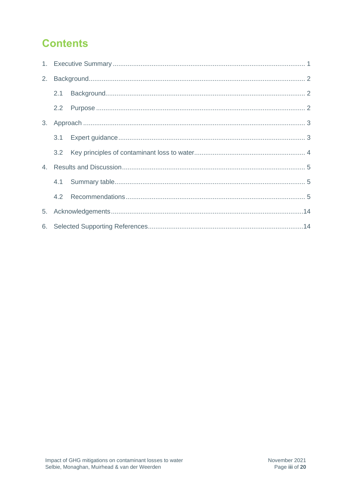# **Contents**

| 2. |     |  |  |  |  |  |  |  |  |
|----|-----|--|--|--|--|--|--|--|--|
|    | 2.1 |  |  |  |  |  |  |  |  |
|    | 2.2 |  |  |  |  |  |  |  |  |
|    |     |  |  |  |  |  |  |  |  |
|    | 3.1 |  |  |  |  |  |  |  |  |
|    | 3.2 |  |  |  |  |  |  |  |  |
|    |     |  |  |  |  |  |  |  |  |
|    |     |  |  |  |  |  |  |  |  |
|    | 4.2 |  |  |  |  |  |  |  |  |
|    |     |  |  |  |  |  |  |  |  |
|    |     |  |  |  |  |  |  |  |  |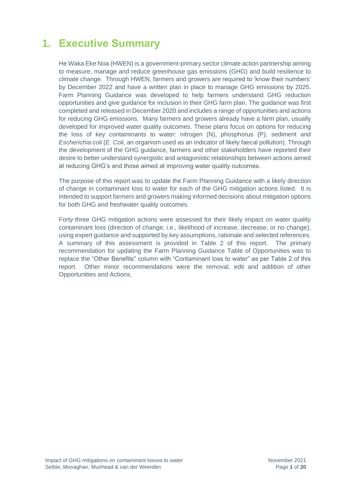# **1. Executive Summary**

He Waka Eke Noa (HWEN) is a government-primary sector climate action partnership aiming to measure, manage and reduce greenhouse gas emissions (GHG) and build resilience to climate change. Through HWEN, farmers and growers are required to 'know their numbers' by December 2022 and have a written plan in place to manage GHG emissions by 2025. Farm Planning Guidance was developed to help farmers understand GHG reduction opportunities and give guidance for inclusion in their GHG farm plan. The guidance was first completed and released in December 2020 and includes a range of opportunities and actions for reducing GHG emissions. Many farmers and growers already have a farm plan, usually developed for improved water quality outcomes. These plans focus on options for reducing the loss of key contaminants to water: nitrogen (N), phosphorus (P), sediment and *Escherichia coli* (*E. Coli*, an organism used as an indicator of likely faecal pollution). Through the development of the GHG guidance, farmers and other stakeholders have reported their desire to better understand synergistic and antagonistic relationships between actions aimed at reducing GHG's and those aimed at improving water quality outcomes.

The purpose of this report was to update the Farm Planning Guidance with a likely direction of change in contaminant loss to water for each of the GHG mitigation actions listed. It is intended to support farmers and growers making informed decisions about mitigation options for both GHG and freshwater quality outcomes.

Forty-three GHG mitigation actions were assessed for their likely impact on water quality contaminant loss (direction of change; i.e., likelihood of increase, decrease, or no change), using expert guidance and supported by key assumptions, rationale and selected references. A summary of this assessment is provided in Table 2 of this report. The primary recommendation for updating the Farm Planning Guidance Table of Opportunities was to replace the "Other Benefits" column with "Contaminant loss to water" as per Table 2 of this report. Other minor recommendations were the removal, edit and addition of other Opportunities and Actions.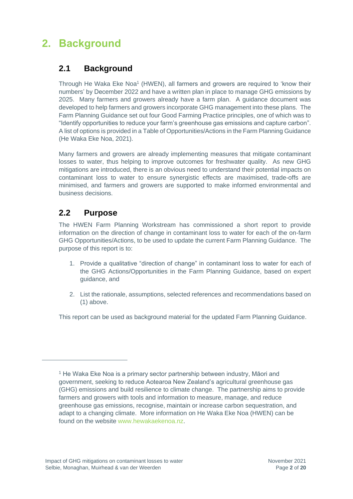# **2. Background**

#### **2.1 Background**

Through He Waka Eke Noa<sup>1</sup> (HWEN), all farmers and growers are required to 'know their numbers' by December 2022 and have a written plan in place to manage GHG emissions by 2025. Many farmers and growers already have a farm plan. A guidance document was developed to help farmers and growers incorporate GHG management into these plans. The Farm Planning Guidance set out four Good Farming Practice principles, one of which was to "Identify opportunities to reduce your farm's greenhouse gas emissions and capture carbon". A list of options is provided in a Table of Opportunities/Actions in the Farm Planning Guidance (He Waka Eke Noa, 2021).

Many farmers and growers are already implementing measures that mitigate contaminant losses to water, thus helping to improve outcomes for freshwater quality. As new GHG mitigations are introduced, there is an obvious need to understand their potential impacts on contaminant loss to water to ensure synergistic effects are maximised, trade-offs are minimised, and farmers and growers are supported to make informed environmental and business decisions.

#### **2.2 Purpose**

The HWEN Farm Planning Workstream has commissioned a short report to provide information on the direction of change in contaminant loss to water for each of the on-farm GHG Opportunities/Actions, to be used to update the current Farm Planning Guidance. The purpose of this report is to:

- 1. Provide a qualitative "direction of change" in contaminant loss to water for each of the GHG Actions/Opportunities in the Farm Planning Guidance, based on expert guidance, and
- 2. List the rationale, assumptions, selected references and recommendations based on (1) above.

This report can be used as background material for the updated Farm Planning Guidance.

<sup>1</sup> He Waka Eke Noa is a primary sector partnership between industry, Māori and government, seeking to reduce Aotearoa New Zealand's agricultural greenhouse gas (GHG) emissions and build resilience to climate change. The partnership aims to provide farmers and growers with tools and information to measure, manage, and reduce greenhouse gas emissions, recognise, maintain or increase carbon sequestration, and adapt to a changing climate. More information on He Waka Eke Noa (HWEN) can be found on the website [www.hewakaekenoa.nz.](http://www.hewakaekenoa.nz/)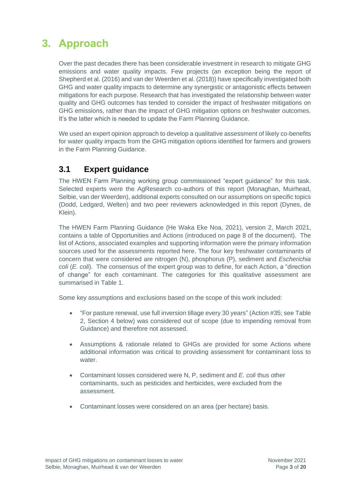# **3. Approach**

Over the past decades there has been considerable investment in research to mitigate GHG emissions and water quality impacts. Few projects (an exception being the report of Shepherd et al. (2016) and van der Weerden et al. (2018)) have specifically investigated both GHG and water quality impacts to determine any synergistic or antagonistic effects between mitigations for each purpose. Research that has investigated the relationship between water quality and GHG outcomes has tended to consider the impact of freshwater mitigations on GHG emissions, rather than the impact of GHG mitigation options on freshwater outcomes. It's the latter which is needed to update the Farm Planning Guidance.

We used an expert opinion approach to develop a qualitative assessment of likely co-benefits for water quality impacts from the GHG mitigation options identified for farmers and growers in the Farm Planning Guidance.

#### **3.1 Expert guidance**

The HWEN Farm Planning working group commissioned "expert guidance" for this task. Selected experts were the AgResearch co-authors of this report (Monaghan, Muirhead, Selbie, van der Weerden), additional experts consulted on our assumptions on specific topics (Dodd, Ledgard, Welten) and two peer reviewers acknowledged in this report (Dynes, de Klein).

The HWEN Farm Planning Guidance (He Waka Eke Noa, 2021), version 2, March 2021, contains a table of Opportunities and Actions (introduced on page 8 of the document). The list of Actions, associated examples and supporting information were the primary information sources used for the assessments reported here. The four key freshwater contaminants of concern that were considered are nitrogen (N), phosphorus (P), sediment and *Escherichia coli* (*E. coli*). The consensus of the expert group was to define, for each Action, a "direction of change" for each contaminant. The categories for this qualitative assessment are summarised in Table 1.

Some key assumptions and exclusions based on the scope of this work included:

- "For pasture renewal, use full inversion tillage every 30 years" (Action #35; see Table 2, Section 4 below) was considered out of scope (due to impending removal from Guidance) and therefore not assessed.
- Assumptions & rationale related to GHGs are provided for some Actions where additional information was critical to providing assessment for contaminant loss to water
- Contaminant losses considered were N, P, sediment and *E. coli* thus other contaminants, such as pesticides and herbicides, were excluded from the assessment.
- Contaminant losses were considered on an area (per hectare) basis.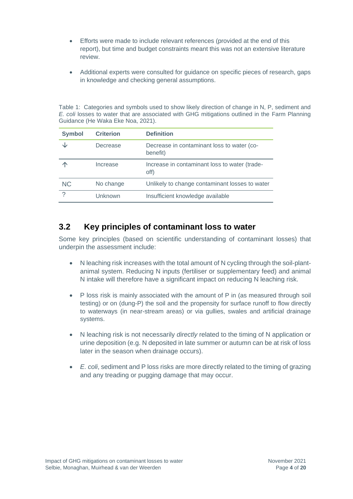- Efforts were made to include relevant references (provided at the end of this report), but time and budget constraints meant this was not an extensive literature review.
- Additional experts were consulted for guidance on specific pieces of research, gaps in knowledge and checking general assumptions.

Table 1: Categories and symbols used to show likely direction of change in N, P, sediment and *E. coli* losses to water that are associated with GHG mitigations outlined in the Farm Planning Guidance (He Waka Eke Noa, 2021).

| <b>Symbol</b> | <b>Criterion</b> | <b>Definition</b>                                      |
|---------------|------------------|--------------------------------------------------------|
|               | Decrease         | Decrease in contaminant loss to water (co-<br>benefit) |
|               | Increase         | Increase in contaminant loss to water (trade-<br>off)  |
| <b>NC</b>     | No change        | Unlikely to change contaminant losses to water         |
| $\mathcal{P}$ | Unknown          | Insufficient knowledge available                       |

#### **3.2 Key principles of contaminant loss to water**

Some key principles (based on scientific understanding of contaminant losses) that underpin the assessment include:

- N leaching risk increases with the total amount of N cycling through the soil-plantanimal system. Reducing N inputs (fertiliser or supplementary feed) and animal N intake will therefore have a significant impact on reducing N leaching risk.
- P loss risk is mainly associated with the amount of P in (as measured through soil testing) or on (dung-P) the soil and the propensity for surface runoff to flow directly to waterways (in near-stream areas) or via gullies, swales and artificial drainage systems.
- N leaching risk is not necessarily *directly* related to the timing of N application or urine deposition (e.g. N deposited in late summer or autumn can be at risk of loss later in the season when drainage occurs).
- *E. coli*, sediment and P loss risks are more directly related to the timing of grazing and any treading or pugging damage that may occur.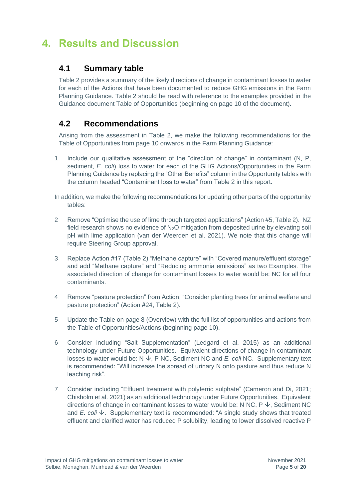## **4. Results and Discussion**

#### **4.1 Summary table**

Table 2 provides a summary of the likely directions of change in contaminant losses to water for each of the Actions that have been documented to reduce GHG emissions in the Farm Planning Guidance. Table 2 should be read with reference to the examples provided in the Guidance document Table of Opportunities (beginning on page 10 of the document).

#### **4.2 Recommendations**

Arising from the assessment in Table 2, we make the following recommendations for the Table of Opportunities from page 10 onwards in the Farm Planning Guidance:

1 Include our qualitative assessment of the "direction of change" in contaminant (N, P, sediment, *E. coli*) loss to water for each of the GHG Actions/Opportunities in the Farm Planning Guidance by replacing the "Other Benefits" column in the Opportunity tables with the column headed "Contaminant loss to water" from Table 2 in this report.

In addition, we make the following recommendations for updating other parts of the opportunity tables:

- 2 Remove "Optimise the use of lime through targeted applications" (Action #5, Table 2). NZ field research shows no evidence of  $N<sub>2</sub>O$  mitigation from deposited urine by elevating soil pH with lime application (van der Weerden et al. 2021). We note that this change will require Steering Group approval.
- 3 Replace Action #17 (Table 2) "Methane capture" with "Covered manure/effluent storage" and add "Methane capture" and "Reducing ammonia emissions" as two Examples. The associated direction of change for contaminant losses to water would be: NC for all four contaminants.
- 4 Remove "pasture protection" from Action: "Consider planting trees for animal welfare and pasture protection" (Action #24, Table 2).
- 5 Update the Table on page 8 (Overview) with the full list of opportunities and actions from the Table of Opportunities/Actions (beginning page 10).
- 6 Consider including "Salt Supplementation" (Ledgard et al. 2015) as an additional technology under Future Opportunities. Equivalent directions of change in contaminant losses to water would be:  $N \nightharpoonup$ , P NC, Sediment NC and *E. coli* NC. Supplementary text is recommended: "Will increase the spread of urinary N onto pasture and thus reduce N leaching risk".
- 7 Consider including "Effluent treatment with polyferric sulphate" (Cameron and Di, 2021; Chisholm et al. 2021) as an additional technology under Future Opportunities. Equivalent directions of change in contaminant losses to water would be: N NC,  $P \n\downarrow$ , Sediment NC and *E. coli*  $\psi$ . Supplementary text is recommended: "A single study shows that treated effluent and clarified water has reduced P solubility, leading to lower dissolved reactive P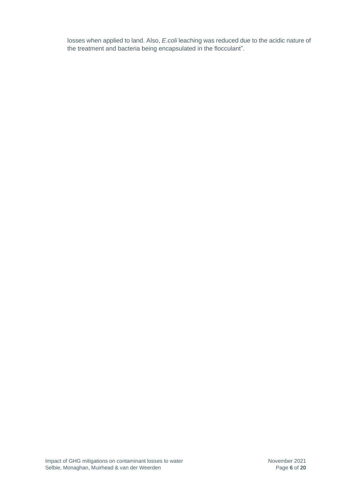losses when applied to land. Also, *E.coli* leaching was reduced due to the acidic nature of the treatment and bacteria being encapsulated in the flocculant".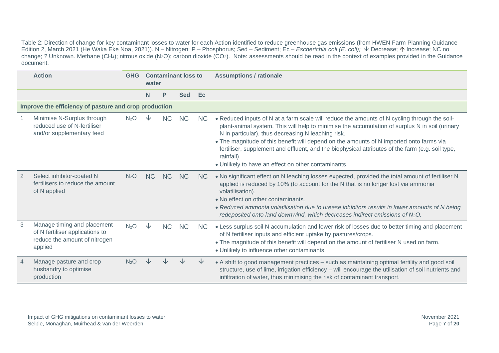Table 2: Direction of change for key contaminant losses to water for each Action identified to reduce greenhouse gas emissions (from HWEN Farm Planning Guidance Edition 2, March 2021 (He Waka Eke Noa, 2021)). N – Nitrogen; P – Phosphorus; Sed – Sediment; Ec – *Escherichia coli (E. coli);* ↓ Decrease; ↑ Increase; NC no change; ? Unknown. Methane (CH4); nitrous oxide (N2O); carbon dioxide (CO2). Note: assessments should be read in the context of examples provided in the Guidance document.

|   | <b>Action</b><br><b>GHG</b>                                                                                |                  |           | water     | <b>Contaminant loss to</b> |                | <b>Assumptions / rationale</b>                                                                                                                                                                                                                                                                                                                                                                                                                                                                                           |
|---|------------------------------------------------------------------------------------------------------------|------------------|-----------|-----------|----------------------------|----------------|--------------------------------------------------------------------------------------------------------------------------------------------------------------------------------------------------------------------------------------------------------------------------------------------------------------------------------------------------------------------------------------------------------------------------------------------------------------------------------------------------------------------------|
|   |                                                                                                            |                  | N         | P         | <b>Sed</b>                 | Ec             |                                                                                                                                                                                                                                                                                                                                                                                                                                                                                                                          |
|   | Improve the efficiency of pasture and crop production                                                      |                  |           |           |                            |                |                                                                                                                                                                                                                                                                                                                                                                                                                                                                                                                          |
|   | Minimise N-Surplus through<br>reduced use of N-fertiliser<br>and/or supplementary feed                     | N <sub>2</sub> O |           | <b>NC</b> | <b>NC</b>                  | NC.            | • Reduced inputs of N at a farm scale will reduce the amounts of N cycling through the soil-<br>plant-animal system. This will help to minimise the accumulation of surplus N in soil (urinary<br>N in particular), thus decreasing N leaching risk.<br>• The magnitude of this benefit will depend on the amounts of N imported onto farms via<br>fertiliser, supplement and effluent, and the biophysical attributes of the farm (e.g. soil type,<br>rainfall).<br>• Unlikely to have an effect on other contaminants. |
|   | Select inhibitor-coated N<br>fertilisers to reduce the amount<br>of N applied                              | N <sub>2</sub> O | <b>NC</b> | <b>NC</b> | <b>NC</b>                  | N <sub>C</sub> | . No significant effect on N leaching losses expected, provided the total amount of fertiliser N<br>applied is reduced by 10% (to account for the N that is no longer lost via ammonia<br>volatilisation).<br>• No effect on other contaminants.<br>• Reduced ammonia volatilisation due to urease inhibitors results in lower amounts of N being<br>redeposited onto land downwind, which decreases indirect emissions of $N_2O$ .                                                                                      |
| 3 | Manage timing and placement<br>of N fertiliser applications to<br>reduce the amount of nitrogen<br>applied | N <sub>2</sub> O | ◡         | <b>NC</b> | <b>NC</b>                  | <b>NC</b>      | • Less surplus soil N accumulation and lower risk of losses due to better timing and placement<br>of N fertiliser inputs and efficient uptake by pastures/crops.<br>. The magnitude of this benefit will depend on the amount of fertiliser N used on farm.<br>• Unlikely to influence other contaminants.                                                                                                                                                                                                               |
|   | Manage pasture and crop<br>husbandry to optimise<br>production                                             | N <sub>2</sub> O |           |           |                            |                | • A shift to good management practices – such as maintaining optimal fertility and good soil<br>structure, use of lime, irrigation efficiency - will encourage the utilisation of soil nutrients and<br>infiltration of water, thus minimising the risk of contaminant transport.                                                                                                                                                                                                                                        |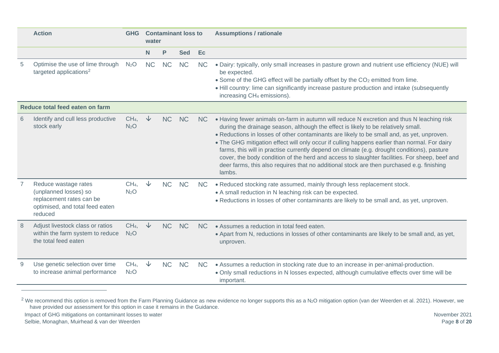|                                 | <b>Action</b><br><b>GHG</b>                                                                                             |                                     | <b>Contaminant loss to</b><br>water |           |            |                | <b>Assumptions / rationale</b>                                                                                                                                                                                                                                                                                                                                                                                                                                                                                                                                                                                                                                                       |  |  |  |  |
|---------------------------------|-------------------------------------------------------------------------------------------------------------------------|-------------------------------------|-------------------------------------|-----------|------------|----------------|--------------------------------------------------------------------------------------------------------------------------------------------------------------------------------------------------------------------------------------------------------------------------------------------------------------------------------------------------------------------------------------------------------------------------------------------------------------------------------------------------------------------------------------------------------------------------------------------------------------------------------------------------------------------------------------|--|--|--|--|
|                                 |                                                                                                                         |                                     | N                                   | P         | <b>Sed</b> | Ec             |                                                                                                                                                                                                                                                                                                                                                                                                                                                                                                                                                                                                                                                                                      |  |  |  |  |
| 5                               | Optimise the use of lime through<br>targeted applications <sup>2</sup>                                                  | N <sub>2</sub> O                    | <b>NC</b>                           | <b>NC</b> | <b>NC</b>  | <b>NC</b>      | . Dairy: typically, only small increases in pasture grown and nutrient use efficiency (NUE) will<br>be expected.<br>• Some of the GHG effect will be partially offset by the CO <sub>2</sub> emitted from lime.<br>. Hill country: lime can significantly increase pasture production and intake (subsequently<br>increasing CH <sub>4</sub> emissions).                                                                                                                                                                                                                                                                                                                             |  |  |  |  |
| Reduce total feed eaten on farm |                                                                                                                         |                                     |                                     |           |            |                |                                                                                                                                                                                                                                                                                                                                                                                                                                                                                                                                                                                                                                                                                      |  |  |  |  |
| 6                               | Identify and cull less productive<br>stock early                                                                        | CH <sub>4</sub><br>N <sub>2</sub> O | $\downarrow$                        | <b>NC</b> | <b>NC</b>  | <b>NC</b>      | • Having fewer animals on-farm in autumn will reduce N excretion and thus N leaching risk<br>during the drainage season, although the effect is likely to be relatively small.<br>. Reductions in losses of other contaminants are likely to be small and, as yet, unproven.<br>. The GHG mitigation effect will only occur if culling happens earlier than normal. For dairy<br>farms, this will in practise currently depend on climate (e.g. drought conditions), pasture<br>cover, the body condition of the herd and access to slaughter facilities. For sheep, beef and<br>deer farms, this also requires that no additional stock are then purchased e.g. finishing<br>lambs. |  |  |  |  |
|                                 | Reduce wastage rates<br>(unplanned losses) so<br>replacement rates can be<br>optimised, and total feed eaten<br>reduced | CH <sub>4</sub><br>N <sub>2</sub> O | $\sqrt{2}$                          | <b>NC</b> | <b>NC</b>  | <b>NC</b>      | . Reduced stocking rate assumed, mainly through less replacement stock.<br>• A small reduction in N leaching risk can be expected.<br>• Reductions in losses of other contaminants are likely to be small and, as yet, unproven.                                                                                                                                                                                                                                                                                                                                                                                                                                                     |  |  |  |  |
| 8                               | Adjust livestock class or ratios<br>within the farm system to reduce<br>the total feed eaten                            | CH <sub>4</sub><br>N <sub>2</sub> O | $\downarrow$                        | <b>NC</b> | <b>NC</b>  | N <sub>C</sub> | • Assumes a reduction in total feed eaten.<br>. Apart from N, reductions in losses of other contaminants are likely to be small and, as yet,<br>unproven.                                                                                                                                                                                                                                                                                                                                                                                                                                                                                                                            |  |  |  |  |
| 9                               | Use genetic selection over time<br>to increase animal performance                                                       | CH <sub>4</sub><br>N <sub>2</sub> O | $\downarrow$                        | <b>NC</b> | <b>NC</b>  | <b>NC</b>      | • Assumes a reduction in stocking rate due to an increase in per-animal-production.<br>. Only small reductions in N losses expected, although cumulative effects over time will be<br>important.                                                                                                                                                                                                                                                                                                                                                                                                                                                                                     |  |  |  |  |

<sup>&</sup>lt;sup>2</sup> We recommend this option is removed from the Farm Planning Guidance as new evidence no longer supports this as a N<sub>2</sub>O mitigation option (van der Weerden et al. 2021). However, we have provided our assessment for this option in case it remains in the Guidance.

Impact of GHG mitigations on contaminant losses to water Selbie, Monaghan, Muirhead & van der Weerden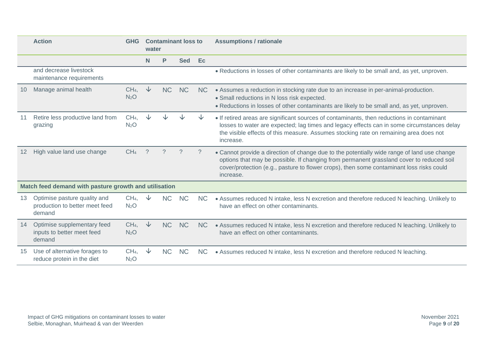|    | <b>Action</b>                                                            | <b>GHG</b>                          | water        |           | <b>Contaminant loss to</b> |                | <b>Assumptions / rationale</b>                                                                                                                                                                                                                                                                   |
|----|--------------------------------------------------------------------------|-------------------------------------|--------------|-----------|----------------------------|----------------|--------------------------------------------------------------------------------------------------------------------------------------------------------------------------------------------------------------------------------------------------------------------------------------------------|
|    |                                                                          |                                     | N            | P         | <b>Sed</b>                 | Ec             |                                                                                                                                                                                                                                                                                                  |
|    | and decrease livestock<br>maintenance requirements                       |                                     |              |           |                            |                | . Reductions in losses of other contaminants are likely to be small and, as yet, unproven.                                                                                                                                                                                                       |
|    | Manage animal health                                                     | CH <sub>4</sub><br>N <sub>2</sub> O | $\downarrow$ | <b>NC</b> | <b>NC</b>                  | <b>NC</b>      | • Assumes a reduction in stocking rate due to an increase in per-animal-production.<br>· Small reductions in N loss risk expected.<br>. Reductions in losses of other contaminants are likely to be small and, as yet, unproven.                                                                 |
|    | Retire less productive land from<br>grazing                              | CH <sub>4</sub><br>N <sub>2</sub> O |              |           |                            |                | • If retired areas are significant sources of contaminants, then reductions in contaminant<br>losses to water are expected; lag times and legacy effects can in some circumstances delay<br>the visible effects of this measure. Assumes stocking rate on remaining area does not<br>increase.   |
| 12 | High value land use change                                               | CH <sub>4</sub>                     | $\gamma$     | ?         |                            | ?              | • Cannot provide a direction of change due to the potentially wide range of land use change<br>options that may be possible. If changing from permanent grassland cover to reduced soil<br>cover/protection (e.g., pasture to flower crops), then some contaminant loss risks could<br>increase. |
|    | Match feed demand with pasture growth and utilisation                    |                                     |              |           |                            |                |                                                                                                                                                                                                                                                                                                  |
| 13 | Optimise pasture quality and<br>production to better meet feed<br>demand | CH <sub>4</sub><br>N <sub>2</sub> O | ◡            | <b>NC</b> | <b>NC</b>                  | N <sub>C</sub> | • Assumes reduced N intake, less N excretion and therefore reduced N leaching. Unlikely to<br>have an effect on other contaminants.                                                                                                                                                              |
| 14 | Optimise supplementary feed<br>inputs to better meet feed<br>demand      | CH <sub>4</sub><br>N <sub>2</sub> O | $\downarrow$ | <b>NC</b> | <b>NC</b>                  | <b>NC</b>      | • Assumes reduced N intake, less N excretion and therefore reduced N leaching. Unlikely to<br>have an effect on other contaminants.                                                                                                                                                              |
| 15 | Use of alternative forages to<br>reduce protein in the diet              | CH <sub>4</sub><br>N <sub>2</sub> O | ◡            | <b>NC</b> | <b>NC</b>                  | N <sub>C</sub> | • Assumes reduced N intake, less N excretion and therefore reduced N leaching.                                                                                                                                                                                                                   |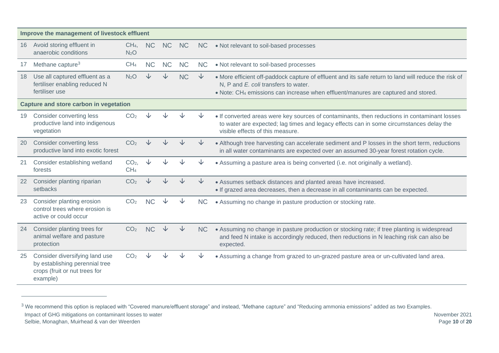|    | Improve the management of livestock effluent                                                                  |                                     |           |           |           |              |                                                                                                                                                                                                                                   |  |  |  |  |
|----|---------------------------------------------------------------------------------------------------------------|-------------------------------------|-----------|-----------|-----------|--------------|-----------------------------------------------------------------------------------------------------------------------------------------------------------------------------------------------------------------------------------|--|--|--|--|
| 16 | Avoid storing effluent in<br>anaerobic conditions                                                             | CH <sub>4</sub><br>N <sub>2</sub> O | <b>NC</b> | <b>NC</b> | <b>NC</b> | <b>NC</b>    | • Not relevant to soil-based processes                                                                                                                                                                                            |  |  |  |  |
| 17 | Methane capture <sup>3</sup>                                                                                  | CH <sub>4</sub>                     | <b>NC</b> | <b>NC</b> | <b>NC</b> | <b>NC</b>    | • Not relevant to soil-based processes                                                                                                                                                                                            |  |  |  |  |
| 18 | Use all captured effluent as a<br>fertiliser enabling reduced N<br>fertiliser use                             | N <sub>2</sub> O                    |           | J         | <b>NC</b> | $\downarrow$ | . More efficient off-paddock capture of effluent and its safe return to land will reduce the risk of<br>N, P and E. coli transfers to water.<br>• Note: CH4 emissions can increase when effluent/manures are captured and stored. |  |  |  |  |
|    | Capture and store carbon in vegetation                                                                        |                                     |           |           |           |              |                                                                                                                                                                                                                                   |  |  |  |  |
| 19 | Consider converting less<br>productive land into indigenous<br>vegetation                                     | CO <sub>2</sub>                     |           |           |           |              | • If converted areas were key sources of contaminants, then reductions in contaminant losses<br>to water are expected; lag times and legacy effects can in some circumstances delay the<br>visible effects of this measure.       |  |  |  |  |
| 20 | <b>Consider converting less</b><br>productive land into exotic forest                                         | CO <sub>2</sub>                     |           |           |           |              | • Although tree harvesting can accelerate sediment and P losses in the short term, reductions<br>in all water contaminants are expected over an assumed 30-year forest rotation cycle.                                            |  |  |  |  |
| 21 | Consider establishing wetland<br>forests                                                                      | CO <sub>2</sub><br>CH <sub>4</sub>  |           |           |           |              | • Assuming a pasture area is being converted (i.e. not originally a wetland).                                                                                                                                                     |  |  |  |  |
| 22 | Consider planting riparian<br>setbacks                                                                        | CO <sub>2</sub>                     |           |           |           | ↓            | • Assumes setback distances and planted areas have increased.<br>• If grazed area decreases, then a decrease in all contaminants can be expected.                                                                                 |  |  |  |  |
| 23 | Consider planting erosion<br>control trees where erosion is<br>active or could occur                          | CO <sub>2</sub>                     | <b>NC</b> |           |           | <b>NC</b>    | • Assuming no change in pasture production or stocking rate.                                                                                                                                                                      |  |  |  |  |
| 24 | Consider planting trees for<br>animal welfare and pasture<br>protection                                       | CO <sub>2</sub>                     | <b>NC</b> |           | ◡         | <b>NC</b>    | • Assuming no change in pasture production or stocking rate; if tree planting is widespread<br>and feed N intake is accordingly reduced, then reductions in N leaching risk can also be<br>expected.                              |  |  |  |  |
| 25 | Consider diversifying land use<br>by establishing perennial tree<br>crops (fruit or nut trees for<br>example) | CO <sub>2</sub>                     |           |           |           |              | • Assuming a change from grazed to un-grazed pasture area or un-cultivated land area.                                                                                                                                             |  |  |  |  |

Impact of GHG mitigations on contaminant losses to water Selbie, Monaghan, Muirhead & van der Weerden <sup>3</sup> We recommend this option is replaced with "Covered manure/effluent storage" and instead, "Methane capture" and "Reducing ammonia emissions" added as two Examples.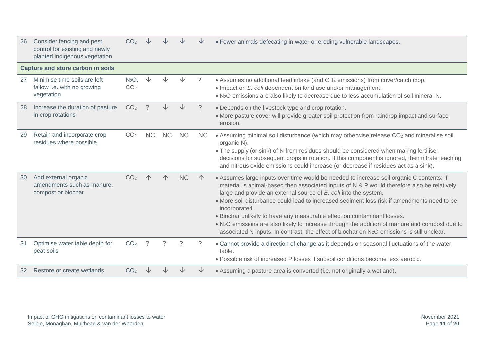| 26 | Consider fencing and pest<br>control for existing and newly<br>planted indigenous vegetation | CO <sub>2</sub>                     |           |           |           |           | • Fewer animals defecating in water or eroding vulnerable landscapes.                                                                                                                                                                                                                                                                                                                                                                                                                                                                                                                                                                                                                      |
|----|----------------------------------------------------------------------------------------------|-------------------------------------|-----------|-----------|-----------|-----------|--------------------------------------------------------------------------------------------------------------------------------------------------------------------------------------------------------------------------------------------------------------------------------------------------------------------------------------------------------------------------------------------------------------------------------------------------------------------------------------------------------------------------------------------------------------------------------------------------------------------------------------------------------------------------------------------|
|    | <b>Capture and store carbon in soils</b>                                                     |                                     |           |           |           |           |                                                                                                                                                                                                                                                                                                                                                                                                                                                                                                                                                                                                                                                                                            |
| 27 | Minimise time soils are left<br>fallow i.e. with no growing<br>vegetation                    | N <sub>2</sub> O<br>CO <sub>2</sub> |           |           |           |           | • Assumes no additional feed intake (and CH4 emissions) from cover/catch crop.<br>• Impact on E. coli dependent on land use and/or management.<br>. N <sub>2</sub> O emissions are also likely to decrease due to less accumulation of soil mineral N.                                                                                                                                                                                                                                                                                                                                                                                                                                     |
| 28 | Increase the duration of pasture<br>in crop rotations                                        | CO <sub>2</sub>                     |           |           |           | ?         | • Depends on the livestock type and crop rotation.<br>• More pasture cover will provide greater soil protection from raindrop impact and surface<br>erosion.                                                                                                                                                                                                                                                                                                                                                                                                                                                                                                                               |
| 29 | Retain and incorporate crop<br>residues where possible                                       | CO <sub>2</sub>                     | <b>NC</b> | <b>NC</b> | <b>NC</b> | <b>NC</b> | • Assuming minimal soil disturbance (which may otherwise release CO <sub>2</sub> and mineralise soil<br>organic N).<br>• The supply (or sink) of N from residues should be considered when making fertiliser<br>decisions for subsequent crops in rotation. If this component is ignored, then nitrate leaching<br>and nitrous oxide emissions could increase (or decrease if residues act as a sink).                                                                                                                                                                                                                                                                                     |
| 30 | Add external organic<br>amendments such as manure.<br>compost or biochar                     | CO <sub>2</sub>                     |           |           | <b>NC</b> |           | • Assumes large inputs over time would be needed to increase soil organic C contents; if<br>material is animal-based then associated inputs of N & P would therefore also be relatively<br>large and provide an external source of $E$ . coli into the system.<br>• More soil disturbance could lead to increased sediment loss risk if amendments need to be<br>incorporated.<br>. Biochar unlikely to have any measurable effect on contaminant losses.<br>$\bullet$ N <sub>2</sub> O emissions are also likely to increase through the addition of manure and compost due to<br>associated N inputs. In contrast, the effect of biochar on N <sub>2</sub> O emissions is still unclear. |
| 31 | Optimise water table depth for<br>peat soils                                                 | CO <sub>2</sub>                     | -2        |           |           |           | • Cannot provide a direction of change as it depends on seasonal fluctuations of the water<br>table.<br>. Possible risk of increased P losses if subsoil conditions become less aerobic.                                                                                                                                                                                                                                                                                                                                                                                                                                                                                                   |
| 32 | Restore or create wetlands                                                                   | CO <sub>2</sub>                     |           |           |           |           | • Assuming a pasture area is converted (i.e. not originally a wetland).                                                                                                                                                                                                                                                                                                                                                                                                                                                                                                                                                                                                                    |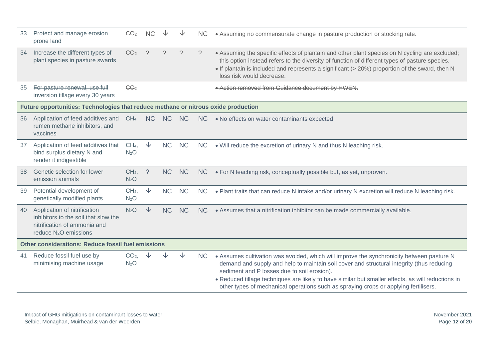| 33 | Protect and manage erosion<br>prone land                                                                                                  | CO <sub>2</sub>                     |               |           |           | <b>NC</b> | • Assuming no commensurate change in pasture production or stocking rate.                                                                                                                                                                                                                                                                                                                                                           |  |  |  |  |
|----|-------------------------------------------------------------------------------------------------------------------------------------------|-------------------------------------|---------------|-----------|-----------|-----------|-------------------------------------------------------------------------------------------------------------------------------------------------------------------------------------------------------------------------------------------------------------------------------------------------------------------------------------------------------------------------------------------------------------------------------------|--|--|--|--|
| 34 | Increase the different types of<br>plant species in pasture swards                                                                        | CO <sub>2</sub>                     | $\mathcal{P}$ | $\gamma$  | $\gamma$  | $\gamma$  | • Assuming the specific effects of plantain and other plant species on N cycling are excluded;<br>this option instead refers to the diversity of function of different types of pasture species.<br>• If plantain is included and represents a significant (> 20%) proportion of the sward, then N<br>loss risk would decrease.                                                                                                     |  |  |  |  |
| 35 | For pasture renewal, use full<br>inversion tillage every 30 years                                                                         | CO <sub>2</sub>                     |               |           |           |           | • Action removed from Guidance document by HWEN.                                                                                                                                                                                                                                                                                                                                                                                    |  |  |  |  |
|    | Future opportunities: Technologies that reduce methane or nitrous oxide production                                                        |                                     |               |           |           |           |                                                                                                                                                                                                                                                                                                                                                                                                                                     |  |  |  |  |
| 36 | Application of feed additives and<br>rumen methane inhibitors, and<br>vaccines                                                            | CH <sub>4</sub>                     | <b>NC</b>     | <b>NC</b> | <b>NC</b> | <b>NC</b> | • No effects on water contaminants expected.                                                                                                                                                                                                                                                                                                                                                                                        |  |  |  |  |
| 37 | Application of feed additives that<br>bind surplus dietary N and<br>render it indigestible                                                | CH <sub>4</sub><br>N <sub>2</sub> O | $\downarrow$  | <b>NC</b> | <b>NC</b> | <b>NC</b> | . Will reduce the excretion of urinary N and thus N leaching risk.                                                                                                                                                                                                                                                                                                                                                                  |  |  |  |  |
| 38 | Genetic selection for lower<br>emission animals                                                                                           | CH <sub>4</sub><br>N <sub>2</sub> O | $\gamma$      | <b>NC</b> | <b>NC</b> | <b>NC</b> | • For N leaching risk, conceptually possible but, as yet, unproven.                                                                                                                                                                                                                                                                                                                                                                 |  |  |  |  |
| 39 | Potential development of<br>genetically modified plants                                                                                   | CH <sub>4</sub><br>N <sub>2</sub> O | $\downarrow$  | <b>NC</b> | <b>NC</b> | <b>NC</b> | . Plant traits that can reduce N intake and/or urinary N excretion will reduce N leaching risk.                                                                                                                                                                                                                                                                                                                                     |  |  |  |  |
| 40 | Application of nitrification<br>inhibitors to the soil that slow the<br>nitrification of ammonia and<br>reduce N <sub>2</sub> O emissions | N <sub>2</sub> O                    | $\downarrow$  | <b>NC</b> | <b>NC</b> | <b>NC</b> | • Assumes that a nitrification inhibitor can be made commercially available.                                                                                                                                                                                                                                                                                                                                                        |  |  |  |  |
|    | Other considerations: Reduce fossil fuel emissions                                                                                        |                                     |               |           |           |           |                                                                                                                                                                                                                                                                                                                                                                                                                                     |  |  |  |  |
| 41 | Reduce fossil fuel use by<br>minimising machine usage                                                                                     | CO <sub>2</sub><br>N <sub>2</sub> O |               |           |           | <b>NC</b> | • Assumes cultivation was avoided, which will improve the synchronicity between pasture N<br>demand and supply and help to maintain soil cover and structural integrity (thus reducing<br>sediment and P losses due to soil erosion).<br>• Reduced tillage techniques are likely to have similar but smaller effects, as will reductions in<br>other types of mechanical operations such as spraying crops or applying fertilisers. |  |  |  |  |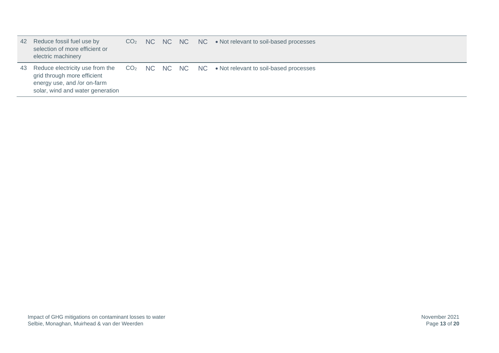| 42 | Reduce fossil fuel use by<br>selection of more efficient or<br>electric machinery              |  |  | $CO2$ NC NC NC NC $\bullet$ Not relevant to soil-based processes                                      |
|----|------------------------------------------------------------------------------------------------|--|--|-------------------------------------------------------------------------------------------------------|
|    | grid through more efficient<br>energy use, and /or on-farm<br>solar, wind and water generation |  |  | 43 Reduce electricity use from the CO <sub>2</sub> NC NC NC NC • Not relevant to soil-based processes |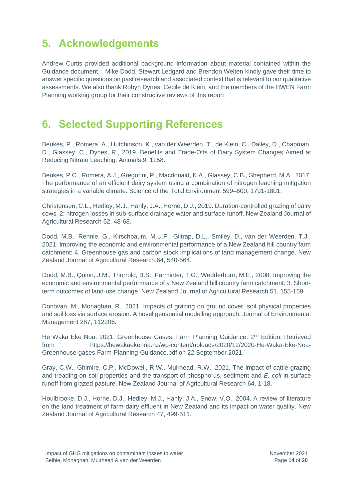## **5. Acknowledgements**

Andrew Curtis provided additional background information about material contained within the Guidance document. Mike Dodd, Stewart Ledgard and Brendon Welten kindly gave their time to answer specific questions on past research and associated context that is relevant to our qualitative assessments. We also thank Robyn Dynes, Cecile de Klein, and the members of the HWEN Farm Planning working group for their constructive reviews of this report.

### **6. Selected Supporting References**

Beukes, P., Romera, A., Hutchinson, K., van der Weerden, T., de Klein, C., Dalley, D., Chapman, D., Glassey, C., Dynes, R., 2019. Benefits and Trade-Offs of Dairy System Changes Aimed at Reducing Nitrate Leaching. Animals 9, 1158.

Beukes, P.C., Romera, A.J., Gregorini, P., Macdonald, K.A., Glassey, C.B., Shepherd, M.A., 2017. The performance of an efficient dairy system using a combination of nitrogen leaching mitigation strategies in a variable climate. Science of the Total Environment 599–600, 1791-1801.

Christensen, C.L., Hedley, M.J., Hanly, J.A., Horne, D.J., 2019. Duration-controlled grazing of dairy cows. 2: nitrogen losses in sub-surface drainage water and surface runoff. New Zealand Journal of Agricultural Research 62, 48-68.

Dodd, M.B., Rennie, G., Kirschbaum, M.U.F., Giltrap, D.L., Smiley, D., van der Weerden, T.J., 2021. Improving the economic and environmental performance of a New Zealand hill country farm catchment: 4. Greenhouse gas and carbon stock implications of land management change. New Zealand Journal of Agricultural Research 64, 540-564.

Dodd, M.B., Quinn, J.M., Thorrold, B.S., Parminter, T.G., Wedderburn, M.E., 2008. Improving the economic and environmental performance of a New Zealand hill country farm catchment: 3. Short‐ term outcomes of land‐use change. New Zealand Journal of Agricultural Research 51, 155-169.

Donovan, M., Monaghan, R., 2021. Impacts of grazing on ground cover, soil physical properties and soil loss via surface erosion: A novel geospatial modelling approach. Journal of Environmental Management 287, 112206.

He Waka Eke Noa. 2021. Greenhouse Gases: Farm Planning Guidance. 2<sup>nd</sup> Edition. Retrieved from https://hewakaekenoa.nz/wp-content/uploads/2020/12/2020-He-Waka-Eke-Noa-Greenhouse-gases-Farm-Planning-Guidance.pdf on 22 September 2021.

Gray, C.W., Ghimire, C.P., McDowell, R.W., Muirhead, R.W., 2021. The impact of cattle grazing and treading on soil properties and the transport of phosphorus, sediment and *E. coli* in surface runoff from grazed pasture. New Zealand Journal of Agricultural Research 64, 1-18.

Houlbrooke, D.J., Horne, D.J., Hedley, M.J., Hanly, J.A., Snow, V.O., 2004. A review of literature on the land treatment of farm-dairy effluent in New Zealand and its impact on water quality. New Zealand Journal of Agricultural Research 47, 499-511.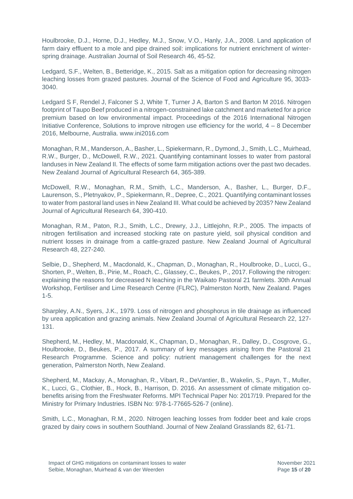Houlbrooke, D.J., Horne, D.J., Hedley, M.J., Snow, V.O., Hanly, J.A., 2008. Land application of farm dairy effluent to a mole and pipe drained soil: implications for nutrient enrichment of winterspring drainage. Australian Journal of Soil Research 46, 45-52.

Ledgard, S.F., Welten, B., Betteridge, K., 2015. Salt as a mitigation option for decreasing nitrogen leaching losses from grazed pastures. Journal of the Science of Food and Agriculture 95, 3033- 3040.

Ledgard S F, Rendel J, Falconer S J, White T, Turner J A, Barton S and Barton M 2016. Nitrogen footprint of Taupo Beef produced in a nitrogen-constrained lake catchment and marketed for a price premium based on low environmental impact. Proceedings of the 2016 International Nitrogen Initiative Conference, Solutions to improve nitrogen use efficiency for the world,  $4 - 8$  December 2016, Melbourne, Australia. www.ini2016.com

Monaghan, R.M., Manderson, A., Basher, L., Spiekermann, R., Dymond, J., Smith, L.C., Muirhead, R.W., Burger, D., McDowell, R.W., 2021. Quantifying contaminant losses to water from pastoral landuses in New Zealand II. The effects of some farm mitigation actions over the past two decades. New Zealand Journal of Agricultural Research 64, 365-389.

McDowell, R.W., Monaghan, R.M., Smith, L.C., Manderson, A., Basher, L., Burger, D.F., Laurenson, S., Pletnyakov, P., Spiekermann, R., Depree, C., 2021. Quantifying contaminant losses to water from pastoral land uses in New Zealand III. What could be achieved by 2035? New Zealand Journal of Agricultural Research 64, 390-410.

Monaghan, R.M., Paton, R.J., Smith, L.C., Drewry, J.J., Littlejohn, R.P., 2005. The impacts of nitrogen fertilisation and increased stocking rate on pasture yield, soil physical condition and nutrient losses in drainage from a cattle-grazed pasture. New Zealand Journal of Agricultural Research 48, 227-240.

Selbie, D., Shepherd, M., Macdonald, K., Chapman, D., Monaghan, R., Houlbrooke, D., Lucci, G., Shorten, P., Welten, B., Pirie, M., Roach, C., Glassey, C., Beukes, P., 2017. Following the nitrogen: explaining the reasons for decreased N leaching in the Waikato Pastoral 21 farmlets. 30th Annual Workshop, Fertiliser and Lime Research Centre (FLRC), Palmerston North, New Zealand. Pages 1-5.

Sharpley, A.N., Syers, J.K., 1979. Loss of nitrogen and phosphorus in tile drainage as influenced by urea application and grazing animals. New Zealand Journal of Agricultural Research 22, 127- 131.

Shepherd, M., Hedley, M., Macdonald, K., Chapman, D., Monaghan, R., Dalley, D., Cosgrove, G., Houlbrooke, D., Beukes, P., 2017. A summary of key messages arising from the Pastoral 21 Research Programme. Science and policy: nutrient management challenges for the next generation, Palmerston North, New Zealand.

Shepherd, M., Mackay, A., Monaghan, R., Vibart, R., DeVantier, B., Wakelin, S., Payn, T., Muller, K., Lucci, G., Clothier, B., Hock, B., Harrison, D. 2016. An assessment of climate mitigation cobenefits arising from the Freshwater Reforms. MPI Technical Paper No: 2017/19. Prepared for the Ministry for Primary Industries. ISBN No: 978-1-77665-526-7 (online).

Smith, L.C., Monaghan, R.M., 2020. Nitrogen leaching losses from fodder beet and kale crops grazed by dairy cows in southern Southland. Journal of New Zealand Grasslands 82, 61-71.